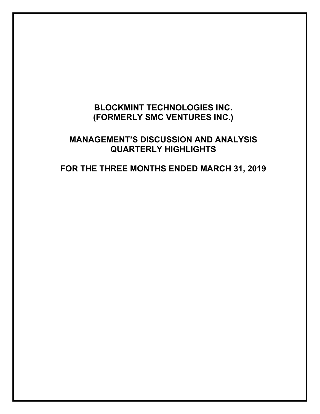# **BLOCKMINT TECHNOLOGIES INC. (FORMERLY SMC VENTURES INC.)**

## **MANAGEMENT'S DISCUSSION AND ANALYSIS QUARTERLY HIGHLIGHTS**

# **FOR THE THREE MONTHS ENDED MARCH 31, 2019**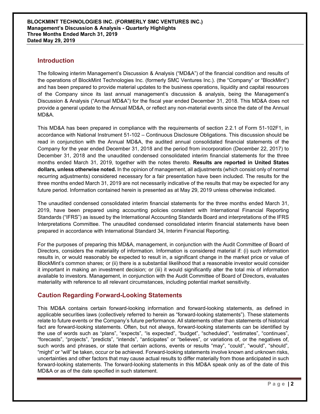## **Introduction**

The following interim Management's Discussion & Analysis ("MD&A") of the financial condition and results of the operations of BlockMint Technologies Inc. (formerly SMC Ventures Inc.). (the "Company" or "BlockMint") and has been prepared to provide material updates to the business operations, liquidity and capital resources of the Company since its last annual management's discussion & analysis, being the Management's Discussion & Analysis ("Annual MD&A") for the fiscal year ended December 31, 2018. This MD&A does not provide a general update to the Annual MD&A, or reflect any non-material events since the date of the Annual MD&A.

This MD&A has been prepared in compliance with the requirements of section 2.2.1 of Form 51-102F1, in accordance with National Instrument 51-102 – Continuous Disclosure Obligations. This discussion should be read in conjunction with the Annual MD&A, the audited annual consolidated financial statements of the Company for the year ended December 31, 2018 and the period from incorporation (December 22, 2017) to December 31, 2018 and the unaudited condensed consolidated interim financial statements for the three months ended March 31, 2019, together with the notes thereto. **Results are reported in United States dollars, unless otherwise noted.** In the opinion of management, all adjustments (which consist only of normal recurring adjustments) considered necessary for a fair presentation have been included. The results for the three months ended March 31, 2019 are not necessarily indicative of the results that may be expected for any future period. Information contained herein is presented as at May 29, 2019 unless otherwise indicated.

The unaudited condensed consolidated interim financial statements for the three months ended March 31, 2019, have been prepared using accounting policies consistent with International Financial Reporting Standards ("IFRS") as issued by the International Accounting Standards Board and interpretations of the IFRS Interpretations Committee. The unaudited condensed consolidated interim financial statements have been prepared in accordance with International Standard 34, Interim Financial Reporting.

For the purposes of preparing this MD&A, management, in conjunction with the Audit Committee of Board of Directors, considers the materiality of information. Information is considered material if: (i) such information results in, or would reasonably be expected to result in, a significant change in the market price or value of BlockMint's common shares; or (ii) there is a substantial likelihood that a reasonable investor would consider it important in making an investment decision; or (iii) it would significantly alter the total mix of information available to investors. Management, in conjunction with the Audit Committee of Board of Directors, evaluates materiality with reference to all relevant circumstances, including potential market sensitivity.

## **Caution Regarding Forward-Looking Statements**

This MD&A contains certain forward-looking information and forward-looking statements, as defined in applicable securities laws (collectively referred to herein as "forward-looking statements"). These statements relate to future events or the Company's future performance. All statements other than statements of historical fact are forward-looking statements. Often, but not always, forward-looking statements can be identified by the use of words such as "plans", "expects", "is expected", "budget", "scheduled", "estimates", "continues", "forecasts", "projects", "predicts", "intends", "anticipates" or "believes", or variations of, or the negatives of, such words and phrases, or state that certain actions, events or results "may", "could", "would", "should", "might" or "will" be taken, occur or be achieved. Forward-looking statements involve known and unknown risks, uncertainties and other factors that may cause actual results to differ materially from those anticipated in such forward-looking statements. The forward-looking statements in this MD&A speak only as of the date of this MD&A or as of the date specified in such statement.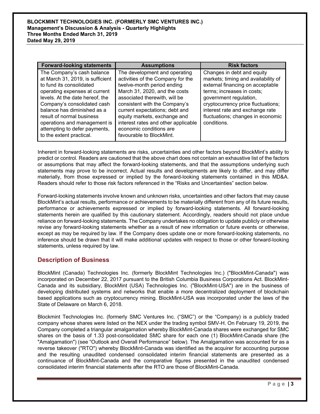| <b>Forward-looking statements</b>                                                                                                                                                                                                                                                                                                                      | <b>Assumptions</b>                                                                                                                                                                                                                                                                                                                                                  | <b>Risk factors</b>                                                                                                                                                                                                                                                                        |  |  |
|--------------------------------------------------------------------------------------------------------------------------------------------------------------------------------------------------------------------------------------------------------------------------------------------------------------------------------------------------------|---------------------------------------------------------------------------------------------------------------------------------------------------------------------------------------------------------------------------------------------------------------------------------------------------------------------------------------------------------------------|--------------------------------------------------------------------------------------------------------------------------------------------------------------------------------------------------------------------------------------------------------------------------------------------|--|--|
| The Company's cash balance<br>at March 31, 2019, is sufficient<br>to fund its consolidated<br>operating expenses at current<br>levels. At the date hereof, the<br>Company's consolidated cash<br>balance has diminished as a<br>result of normal business<br>operations and management is<br>attempting to defer payments,<br>to the extent practical. | The development and operating<br>activities of the Company for the<br>twelve-month period ending<br>March 31, 2020, and the costs<br>associated therewith, will be<br>consistent with the Company's<br>current expectations; debt and<br>equity markets, exchange and<br>interest rates and other applicable<br>economic conditions are<br>favourable to BlockMint. | Changes in debt and equity<br>markets; timing and availability of<br>external financing on acceptable<br>terms; increases in costs;<br>government regulation,<br>cryptocurrency price fluctuations;<br>interest rate and exchange rate<br>fluctuations; changes in economic<br>conditions. |  |  |

Inherent in forward-looking statements are risks, uncertainties and other factors beyond BlockMint's ability to predict or control. Readers are cautioned that the above chart does not contain an exhaustive list of the factors or assumptions that may affect the forward-looking statements, and that the assumptions underlying such statements may prove to be incorrect. Actual results and developments are likely to differ, and may differ materially, from those expressed or implied by the forward-looking statements contained in this MD&A. Readers should refer to those risk factors referenced in the "Risks and Uncertainties" section below.

Forward-looking statements involve known and unknown risks, uncertainties and other factors that may cause BlockMint's actual results, performance or achievements to be materially different from any of its future results, performance or achievements expressed or implied by forward-looking statements. All forward-looking statements herein are qualified by this cautionary statement. Accordingly, readers should not place undue reliance on forward-looking statements. The Company undertakes no obligation to update publicly or otherwise revise any forward-looking statements whether as a result of new information or future events or otherwise, except as may be required by law. If the Company does update one or more forward-looking statements, no inference should be drawn that it will make additional updates with respect to those or other forward-looking statements, unless required by law.

## **Description of Business**

BlockMint (Canada) Technologies Inc. (formerly BlockMint Technologies Inc.) ("BlockMint-Canada") was incorporated on December 22, 2017 pursuant to the British Columbia Business Corporations Act. BlockMint-Canada and its subsidiary, BlockMint (USA) Technologies Inc. ("BlockMint-USA") are in the business of developing distributed systems and networks that enable a more decentralized deployment of blockchain based applications such as cryptocurrency mining. BlockMint-USA was incorporated under the laws of the State of Delaware on March 6, 2018.

Blockmint Technologies Inc. (formerly SMC Ventures Inc. ("SMC") or the "Company) is a publicly traded company whose shares were listed on the NEX under the trading symbol SMV-H. On February 19, 2019, the Company completed a triangular amalgamation whereby BlockMint-Canada shares were exchanged for SMC shares on the basis of 1.33 post-consolidated SMC share for each one (1) BlockMint-Canada share (the "Amalgamation") (see "Outlook and Overall Performance" below). The Amalgamation was accounted for as a reverse takeover ("RTO") whereby BlockMint-Canada was identified as the acquirer for accounting purpose and the resulting unaudited condensed consolidated interim financial statements are presented as a continuance of BlockMint-Canada and the comparative figures presented in the unaudited condensed consolidated interim financial statements after the RTO are those of BlockMint-Canada.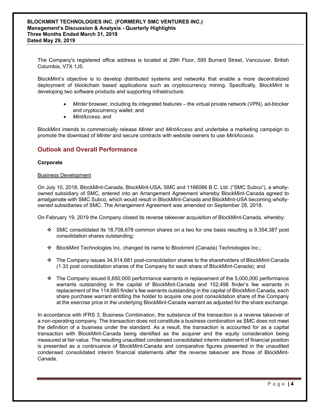The Company's registered office address is located at 29th Floor, 595 Burrard Street, Vancouver, British Columbia, V7X 1J5.

BlockMint's objective is to develop distributed systems and networks that enable a more decentralized deployment of blockchain based applications such as cryptocurrency mining. Specifically, BlockMint is developing two software products and supporting infrastructure:

- Minter browser, including its integrated features the virtual private network (VPN), ad-blocker and cryptocurrency wallet; and
- *MintAccess*; and

BlockMint intends to commercially release *Minter* and *MintAccess* and undertake a marketing campaign to promote the download of *Minter* and secure contracts with website owners to use *MintAccess.*

## **Outlook and Overall Performance**

#### **Corporate**

#### Business Development

On July 10, 2018, BlockMint-Canada, BlockMint-USA, SMC and 1166066 B.C. Ltd. ("SMC Subco"), a whollyowned subsidiary of SMC, entered into an Arrangement Agreement whereby BlockMint-Canada agreed to amalgamate with SMC Subco, which would result in BlockMint-Canada and BlockMint-USA becoming whollyowned subsidiaries of SMC. The Arrangement Agreement was amended on September 28, 2018.

On February 19, 2019 the Company closed its reverse takeover acquisition of BlockMint-Canada, whereby:

- SMC consolidated its 18,708,678 common shares on a two for one basis resulting is 9,354,387 post consolidation shares outstanding;
- BlockMint Technologies Inc. changed its name to Blockmint (Canada) Technologies Inc.;
- The Company issues 34,914,681 post-consolidation shares to the shareholders of BlockMint-Canada (1.33 post consolidation shares of the Company for each share of BlockMint-Canada); and
- $\div$  The Company issued 6,650,000 performance warrants in replacement of the 5,000,000 performance warrants outstanding in the capital of BlockMint-Canada and 152,498 finder's fee warrants in replacement of the 114,660 finder's fee warrants outstanding in the capital of BlockMint-Canada, each share purchase warrant entitling the holder to acquire one post consolidation share of the Company at the exercise price in the underlying BlockMint-Canada warrant as adjusted for the share exchange.

In accordance with IFRS 3, Business Combination, the substance of the transaction is a reverse takeover of a non-operating company. The transaction does not constitute a business combination as SMC does not meet the definition of a business under the standard. As a result, the transaction is accounted for as a capital transaction with BlockMint-Canada being identified as the acquirer and the equity consideration being measured at fair value. The resulting unaudited condensed consolidated interim statement of financial position is presented as a continuance of BlockMint-Canada and comparative figures presented in the unaudited condensed consolidated interim financial statements after the reverse takeover are those of BlockMint-Canada.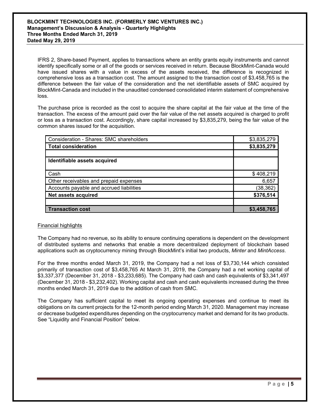IFRS 2, Share-based Payment, applies to transactions where an entity grants equity instruments and cannot identify specifically some or all of the goods or services received in return. Because BlockMint-Canada would have issued shares with a value in excess of the assets received, the difference is recognized in comprehensive loss as a transaction cost. The amount assigned to the transaction cost of \$3,458,765 is the difference between the fair value of the consideration and the net identifiable assets of SMC acquired by BlockMint-Canada and included in the unaudited condensed consolidated interim statement of comprehensive loss.

The purchase price is recorded as the cost to acquire the share capital at the fair value at the time of the transaction. The excess of the amount paid over the fair value of the net assets acquired is charged to profit or loss as a transaction cost. Accordingly, share capital increased by \$3,835,279, being the fair value of the common shares issued for the acquisition.

| Consideration - Shares: SMC shareholders | \$3,835,279 |
|------------------------------------------|-------------|
| <b>Total consideration</b>               | \$3,835,279 |
|                                          |             |
| Identifiable assets acquired             |             |
|                                          |             |
| Cash                                     | \$408,219   |
| Other receivables and prepaid expenses   | 6,657       |
| Accounts payable and accrued liabilities | (38, 362)   |
| Net assets acquired                      | \$376,514   |
|                                          |             |
| <b>Transaction cost</b>                  | \$3,458,765 |

#### Financial highlights

The Company had no revenue, so its ability to ensure continuing operations is dependent on the development of distributed systems and networks that enable a more decentralized deployment of blockchain based applications such as cryptocurrency mining through BlockMint's initial two products, *Minter* and *MintAccess*.

For the three months ended March 31, 2019, the Company had a net loss of \$3,730,144 which consisted primarily of transaction cost of \$3,458,765 At March 31, 2019, the Company had a net working capital of \$3,337,377 (December 31, 2018 - \$3,233,685). The Company had cash and cash equivalents of \$3,341,497 (December 31, 2018 - \$3,232,402). Working capital and cash and cash equivalents increased during the three months ended March 31, 2019 due to the addition of cash from SMC.

The Company has sufficient capital to meet its ongoing operating expenses and continue to meet its obligations on its current projects for the 12-month period ending March 31, 2020. Management may increase or decrease budgeted expenditures depending on the cryptocurrency market and demand for its two products. See "Liquidity and Financial Position" below.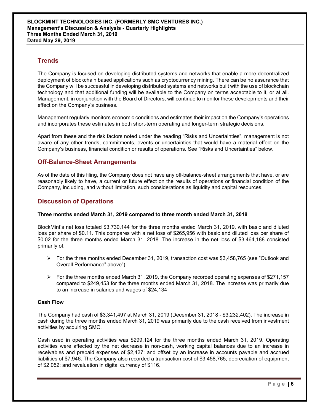## **Trends**

The Company is focused on developing distributed systems and networks that enable a more decentralized deployment of blockchain based applications such as cryptocurrency mining. There can be no assurance that the Company will be successful in developing distributed systems and networks built with the use of blockchain technology and that additional funding will be available to the Company on terms acceptable to it, or at all. Management, in conjunction with the Board of Directors, will continue to monitor these developments and their effect on the Company's business.

Management regularly monitors economic conditions and estimates their impact on the Company's operations and incorporates these estimates in both short-term operating and longer-term strategic decisions.

Apart from these and the risk factors noted under the heading "Risks and Uncertainties", management is not aware of any other trends, commitments, events or uncertainties that would have a material effect on the Company's business, financial condition or results of operations. See "Risks and Uncertainties" below.

## **Off-Balance-Sheet Arrangements**

As of the date of this filing, the Company does not have any off-balance-sheet arrangements that have, or are reasonably likely to have, a current or future effect on the results of operations or financial condition of the Company, including, and without limitation, such considerations as liquidity and capital resources.

## **Discussion of Operations**

#### **Three months ended March 31, 2019 compared to three month ended March 31, 2018**

BlockMint's net loss totaled \$3,730,144 for the three months ended March 31, 2019, with basic and diluted loss per share of \$0.11. This compares with a net loss of \$265,956 with basic and diluted loss per share of \$0.02 for the three months ended March 31, 2018. The increase in the net loss of \$3,464,188 consisted primarily of:

- $\triangleright$  For the three months ended December 31, 2019, transaction cost was \$3,458,765 (see "Outlook and Overall Performance" above")
- $\triangleright$  For the three months ended March 31, 2019, the Company recorded operating expenses of \$271,157 compared to \$249,453 for the three months ended March 31, 2018. The increase was primarily due to an increase in salaries and wages of \$24,134

#### **Cash Flow**

The Company had cash of \$3,341,497 at March 31, 2019 (December 31, 2018 - \$3,232,402). The increase in cash during the three months ended March 31, 2019 was primarily due to the cash received from investment activities by acquiring SMC.

Cash used in operating activities was \$299,124 for the three months ended March 31, 2019. Operating activities were affected by the net decrease in non-cash, working capital balances due to an increase in receivables and prepaid expenses of \$2,427; and offset by an increase in accounts payable and accrued liabilities of \$7,946. The Company also recorded a transaction cost of \$3,458,765; depreciation of equipment of \$2,052; and revaluation in digital currency of \$116.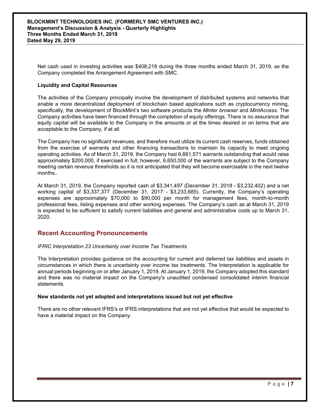Net cash used in investing activities was \$408,219 during the three months ended March 31, 2019, as the Company completed the Arrangement Agreement with SMC.

#### **Liquidity and Capital Resources**

The activities of the Company principally involve the development of distributed systems and networks that enable a more decentralized deployment of blockchain based applications such as cryptocurrency mining, specifically, the development of BlockMint's two software products the *Minter browser* and *MintAccess*. The Company activities have been financed through the completion of equity offerings. There is no assurance that equity capital will be available to the Company in the amounts or at the times desired or on terms that are acceptable to the Company, if at all.

The Company has no significant revenues, and therefore must utilize its current cash reserves, funds obtained from the exercise of warrants and other financing transactions to maintain its capacity to meet ongoing operating activities. As of March 31, 2019, the Company had 6,661,571 warrants outstanding that would raise approximately \$200,000, if exercised in full; however, 6,650,000 of the warrants are subject to the Company meeting certain revenue thresholds so it is not anticipated that they will become exercisable in the next twelve months..

At March 31, 2019, the Company reported cash of \$3,341,497 (December 31, 2018 - \$3,232,402) and a net working capital of \$3,337,377 (December 31, 2017 - \$3,233,685). Currently, the Company's operating expenses are approximately \$70,000 to \$90,000 per month for management fees, month-to-month professional fees, listing expenses and other working expenses. The Company's cash as at March 31, 2019 is expected to be sufficient to satisfy current liabilities and general and administrative costs up to March 31, 2020.

### **Recent Accounting Pronouncements**

#### *IFRIC Interpretation 23 Uncertainty over Income Tax Treatments*

The Interpretation provides guidance on the accounting for current and deferred tax liabilities and assets in circumstances in which there is uncertainty over income tax treatments. The Interpretation is applicable for annual periods beginning on or after January 1, 2019. At January 1, 2019, the Company adopted this standard and there was no material impact on the Company's unaudited condensed consolidated interim financial statements.

#### **New standards not yet adopted and interpretations issued but not yet effective**

There are no other relevant IFRS's or IFRS interpretations that are not yet effective that would be expected to have a material impact on the Company.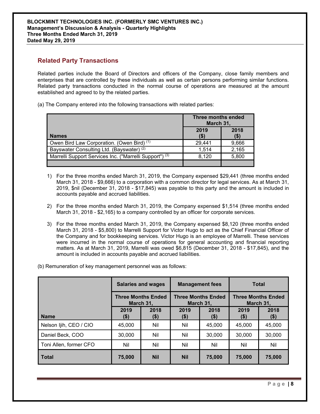## **Related Party Transactions**

Related parties include the Board of Directors and officers of the Company, close family members and enterprises that are controlled by these individuals as well as certain persons performing similar functions. Related party transactions conducted in the normal course of operations are measured at the amount established and agreed to by the related parties.

(a) The Company entered into the following transactions with related parties:

|                                                                    | Three months ended<br>March 31, |                |
|--------------------------------------------------------------------|---------------------------------|----------------|
| <b>Names</b>                                                       | 2019<br>(\$)                    | 2018<br>( \$ ) |
| Owen Bird Law Corporation. (Owen Bird) $(1)$                       | 29,441                          | 9,666          |
| Bayswater Consulting Ltd. (Bayswater) <sup>(2)</sup>               | 1.514                           | 2,165          |
| Marrelli Support Services Inc. ("Marrelli Support") <sup>(3)</sup> | 8,120                           | 5,800          |
|                                                                    |                                 |                |

- 1) For the three months ended March 31, 2019, the Company expensed \$29,441 (three months ended March 31, 2018 - \$9,666) to a corporation with a common director for legal services. As at March 31, 2019, \$nil (December 31, 2018 - \$17,845) was payable to this party and the amount is included in accounts payable and accrued liabilities.
- 2) For the three months ended March 31, 2019, the Company expensed \$1,514 (three months ended March 31, 2018 - \$2,165) to a company controlled by an officer for corporate services.
- 3) For the three months ended March 31, 2019, the Company expensed \$8,120 (three months ended March 31, 2018 - \$5,800) to Marrelli Support for Victor Hugo to act as the Chief Financial Officer of the Company and for bookkeeping services. Victor Hugo is an employee of Marrelli. These services were incurred in the normal course of operations for general accounting and financial reporting matters. As at March 31, 2019, Marrelli was owed \$6,815 (December 31, 2018 - \$17,845), and the amount is included in accounts payable and accrued liabilities.
- (b) Remuneration of key management personnel was as follows:

|                        | <b>Salaries and wages</b><br><b>Three Months Ended</b><br>March 31, |             | <b>Management fees</b><br><b>Three Months Ended</b><br>March 31, |                 | <b>Total</b>                           |             |
|------------------------|---------------------------------------------------------------------|-------------|------------------------------------------------------------------|-----------------|----------------------------------------|-------------|
|                        |                                                                     |             |                                                                  |                 | <b>Three Months Ended</b><br>March 31. |             |
| <b>Name</b>            | 2019<br>(\$)                                                        | 2018<br>\$) | 2019<br>\$)                                                      | 2018<br>$($ \$) | 2019<br>(\$)                           | 2018<br>\$) |
| Nelson Ijih, CEO / CIO | 45,000                                                              | Nil         | Nil                                                              | 45,000          | 45,000                                 | 45,000      |
| Daniel Beck, COO       | 30,000                                                              | Nil         | Nil                                                              | 30,000          | 30,000                                 | 30,000      |
| Toni Allen, former CFO | Nil                                                                 | Nil         | Nil                                                              | Nil             | Nil                                    | Nil         |
| <b>Total</b>           | 75,000                                                              | <b>Nil</b>  | <b>Nil</b>                                                       | 75,000          | 75,000                                 | 75,000      |